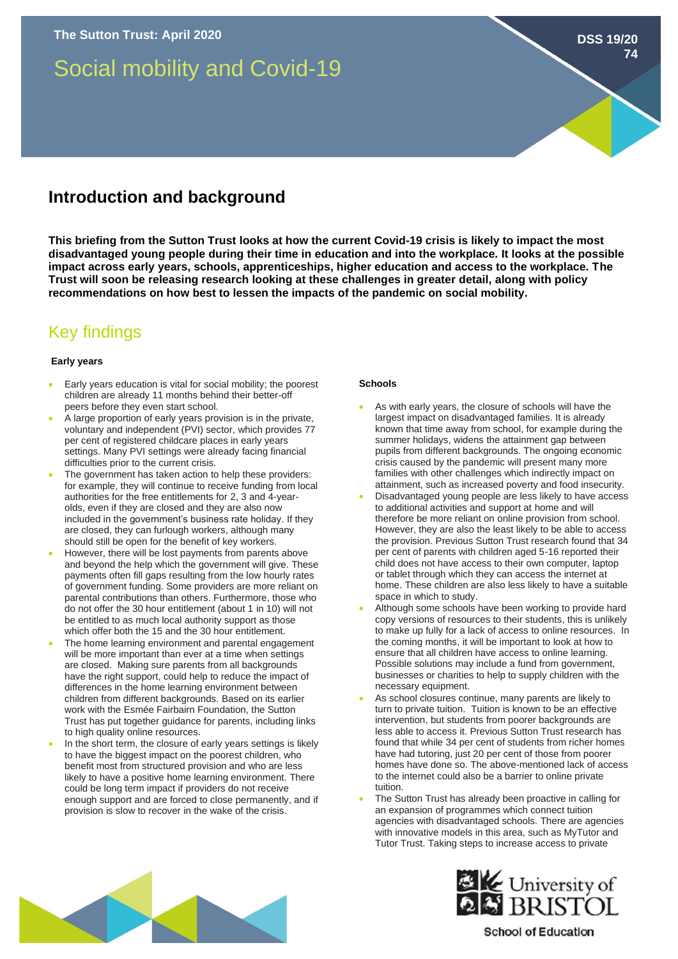# Social mobility and Covid-19

# **Introduction and background**

**This briefing from the Sutton Trust looks at how the current Covid-19 crisis is likely to impact the most disadvantaged young people during their time in education and into the workplace. It looks at the possible impact across early years, schools, apprenticeships, higher education and access to the workplace. The Trust will soon be releasing research looking at these challenges in greater detail, along with policy recommendations on how best to lessen the impacts of the pandemic on social mobility.**

# Key findings

## **Early years**

- Early years education is vital for social mobility; the poorest children are already 11 months behind their better-off peers before they even start school.
- A large proportion of early years provision is in the private, voluntary and independent (PVI) sector, which provides 77 per cent of registered childcare places in early years settings. Many PVI settings were already facing financial difficulties prior to the current crisis.
- The government has taken action to help these providers: for example, they will continue to receive funding from local authorities for the free entitlements for 2, 3 and 4-yearolds, even if they are closed and they are also now included in the government's business rate holiday. If they are closed, they can furlough workers, although many should still be open for the benefit of key workers.
- However, there will be lost payments from parents above and beyond the help which the government will give. These payments often fill gaps resulting from the low hourly rates of government funding. Some providers are more reliant on parental contributions than others. Furthermore, those who do not offer the 30 hour entitlement (about 1 in 10) will not be entitled to as much local authority support as those which offer both the 15 and the 30 hour entitlement.
- The home learning environment and parental engagement will be more important than ever at a time when settings are closed. Making sure parents from all backgrounds have the right support, could help to reduce the impact of differences in the home learning environment between children from different backgrounds. Based on its earlier work with the Esmée Fairbairn Foundation, the Sutton Trust has put together guidance for parents, including links to high quality online resources.
- In the short term, the closure of early years settings is likely to have the biggest impact on the poorest children, who benefit most from structured provision and who are less likely to have a positive home learning environment. There could be long term impact if providers do not receive enough support and are forced to close permanently, and if provision is slow to recover in the wake of the crisis.

# **Schools**

As with early years, the closure of schools will have the largest impact on disadvantaged families. It is already known that time away from school, for example during the summer holidays, widens the attainment gap between pupils from different backgrounds. The ongoing economic crisis caused by the pandemic will present many more families with other challenges which indirectly impact on attainment, such as increased poverty and food insecurity.

**DSS 19/20**

**74**

- Disadvantaged young people are less likely to have access to additional activities and support at home and will therefore be more reliant on online provision from school. However, they are also the least likely to be able to access the provision. Previous Sutton Trust research found that 34 per cent of parents with children aged 5-16 reported their child does not have access to their own computer, laptop or tablet through which they can access the internet at home. These children are also less likely to have a suitable space in which to study.
- Although some schools have been working to provide hard copy versions of resources to their students, this is unlikely to make up fully for a lack of access to online resources. In the coming months, it will be important to look at how to ensure that all children have access to online learning. Possible solutions may include a fund from government, businesses or charities to help to supply children with the necessary equipment.
- As school closures continue, many parents are likely to turn to private tuition. Tuition is known to be an effective intervention, but students from poorer backgrounds are less able to access it. Previous Sutton Trust research has found that while 34 per cent of students from richer homes have had tutoring, just 20 per cent of those from poorer homes have done so. The above-mentioned lack of access to the internet could also be a barrier to online private tuition.
- The Sutton Trust has already been proactive in calling for an expansion of programmes which connect tuition agencies with disadvantaged schools. There are agencies with innovative models in this area, such as MyTutor and Tutor Trust. Taking steps to increase access to private





# **School of Education**